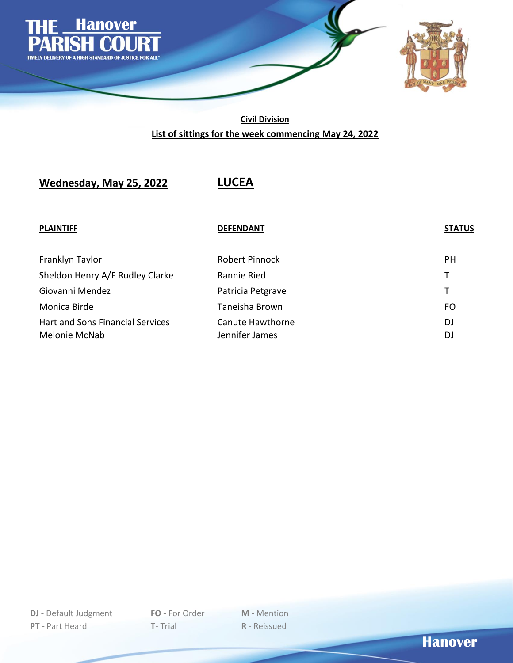

**Civil Division List of sittings for the week commencing May 24, 2022**

**Wednesday, May 25, 2022 LUCEA**

### **PLAINTIFF DEFENDANT STATUS**

| Franklyn Taylor                  | <b>Robert Pinnock</b> | <b>PH</b> |
|----------------------------------|-----------------------|-----------|
| Sheldon Henry A/F Rudley Clarke  | Rannie Ried           | T.        |
| Giovanni Mendez                  | Patricia Petgrave     | Τ         |
| Monica Birde                     | Taneisha Brown        | FO        |
| Hart and Sons Financial Services | Canute Hawthorne      | DJ        |
| Melonie McNab                    | Jennifer James        | DJ        |

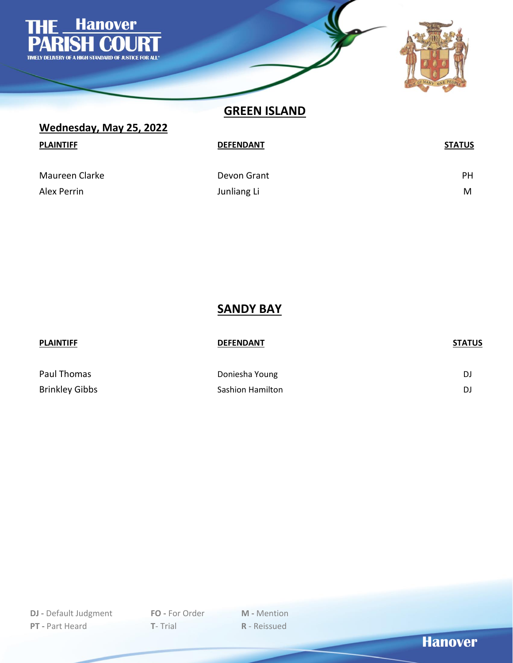

**GREEN ISLAND**

| Wednesday, May 25, 2022       |                            |                |  |  |
|-------------------------------|----------------------------|----------------|--|--|
| <b>PLAINTIFF</b>              | <b>DEFENDANT</b>           | <b>STATUS</b>  |  |  |
| Maureen Clarke<br>Alex Perrin | Devon Grant<br>Junliang Li | <b>PH</b><br>M |  |  |

**SANDY BAY**

| <b>PLAINTIFF</b> | <b>DEFENDANT</b> | <b>STATUS</b> |
|------------------|------------------|---------------|
| Paul Thomas      | Doniesha Young   | DJ            |
| Brinkley Gibbs   | Sashion Hamilton | DJ            |

**Hanover**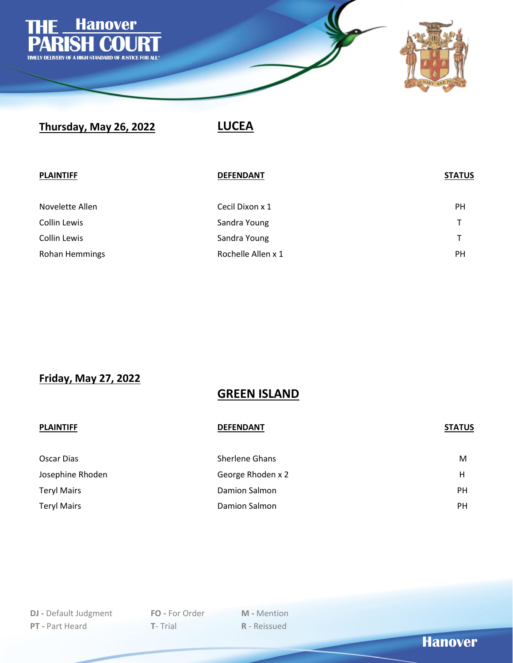

# **Thursday, May 26, 2022 LUCEA**

| <b>PLAINTIFF</b> | <b>DEFENDANT</b>   | <b>STATUS</b> |
|------------------|--------------------|---------------|
| Novelette Allen  | Cecil Dixon x 1    | <b>PH</b>     |
| Collin Lewis     | Sandra Young       |               |
| Collin Lewis     | Sandra Young       |               |
| Rohan Hemmings   | Rochelle Allen x 1 | PH            |

**Friday, May 27, 2022**

## **GREEN ISLAND**

| <b>PLAINTIFF</b>   | <b>DEFENDANT</b>      | <b>STATUS</b> |
|--------------------|-----------------------|---------------|
| Oscar Dias         | <b>Sherlene Ghans</b> | M             |
| Josephine Rhoden   | George Rhoden x 2     | Н             |
| <b>Teryl Mairs</b> | Damion Salmon         | <b>PH</b>     |
| <b>Teryl Mairs</b> | Damion Salmon         | <b>PH</b>     |

**Hanover**